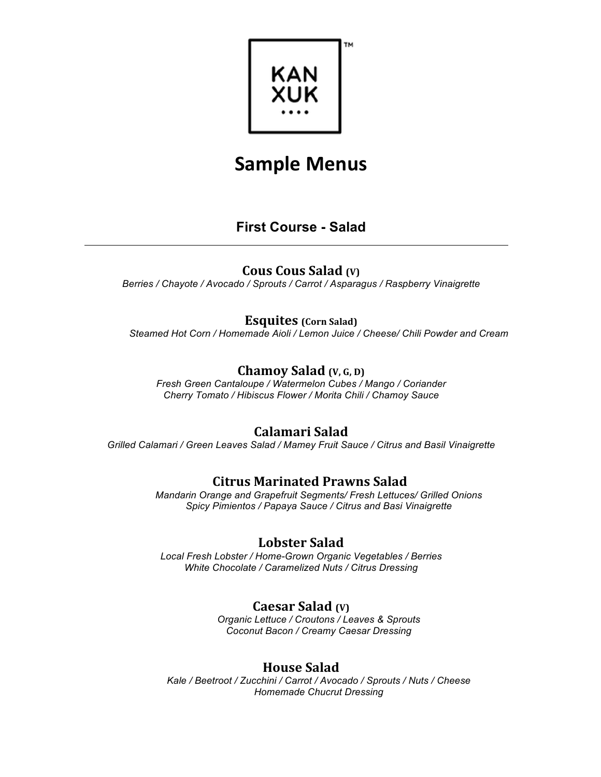

# **First Course - Salad**

## **Cous Cous Salad** (v)

*Berries / Chayote / Avocado / Sprouts / Carrot / Asparagus / Raspberry Vinaigrette*

### **Esquites** (Corn Salad)

*Steamed Hot Corn / Homemade Aioli / Lemon Juice / Cheese/ Chili Powder and Cream*

## **Chamoy Salad** (v, G, D)

*Fresh Green Cantaloupe / Watermelon Cubes / Mango / Coriander Cherry Tomato / Hibiscus Flower / Morita Chili / Chamoy Sauce*

## **Calamari Salad**

*Grilled Calamari / Green Leaves Salad / Mamey Fruit Sauce / Citrus and Basil Vinaigrette*

## **Citrus Marinated Prawns Salad**

*Mandarin Orange and Grapefruit Segments/ Fresh Lettuces/ Grilled Onions Spicy Pimientos / Papaya Sauce / Citrus and Basi Vinaigrette*

## **Lobster Salad**

*Local Fresh Lobster / Home-Grown Organic Vegetables / Berries White Chocolate / Caramelized Nuts / Citrus Dressing*

## **Caesar Salad** (V)

*Organic Lettuce / Croutons / Leaves & Sprouts Coconut Bacon / Creamy Caesar Dressing*

### **House Salad**

*Kale / Beetroot / Zucchini / Carrot / Avocado / Sprouts / Nuts / Cheese Homemade Chucrut Dressing*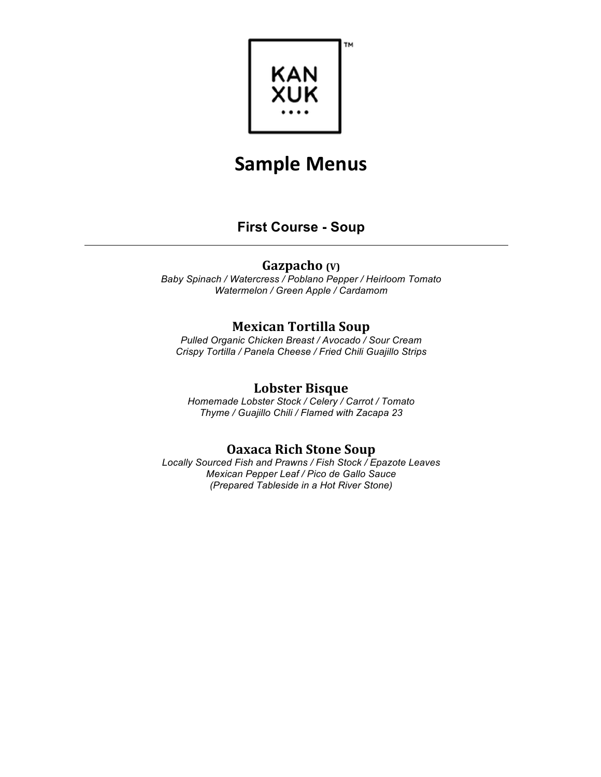

## **First Course - Soup**

### **Gazpacho** (V)

*Baby Spinach / Watercress / Poblano Pepper / Heirloom Tomato Watermelon / Green Apple / Cardamom*

### **Mexican Tortilla Soup**

*Pulled Organic Chicken Breast / Avocado / Sour Cream Crispy Tortilla / Panela Cheese / Fried Chili Guajillo Strips*

#### **Lobster Bisque**

*Homemade Lobster Stock / Celery / Carrot / Tomato Thyme / Guajillo Chili / Flamed with Zacapa 23*

### **Oaxaca Rich Stone Soup**

*Locally Sourced Fish and Prawns / Fish Stock / Epazote Leaves Mexican Pepper Leaf / Pico de Gallo Sauce (Prepared Tableside in a Hot River Stone)*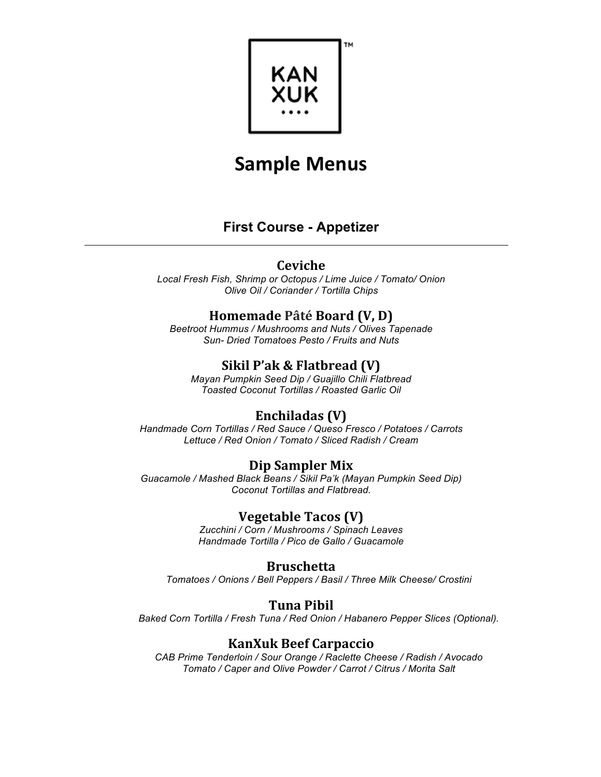

# **First Course - Appetizer**

### **Ceviche**

*Local Fresh Fish, Shrimp or Octopus / Lime Juice / Tomato/ Onion Olive Oil / Coriander / Tortilla Chips*

## **Homemade Pâté Board (V, D)**

*Beetroot Hummus / Mushrooms and Nuts / Olives Tapenade Sun- Dried Tomatoes Pesto / Fruits and Nuts*

## **Sikil P'ak & Flatbread (V)**

*Mayan Pumpkin Seed Dip / Guajillo Chili Flatbread Toasted Coconut Tortillas / Roasted Garlic Oil*

## **Enchiladas (V)**

*Handmade Corn Tortillas / Red Sauce / Queso Fresco / Potatoes / Carrots Lettuce / Red Onion / Tomato / Sliced Radish / Cream*

## **Dip Sampler Mix**

*Guacamole / Mashed Black Beans / Sikil Pa'k (Mayan Pumpkin Seed Dip) Coconut Tortillas and Flatbread.*

### **Vegetable Tacos (V)**

*Zucchini / Corn / Mushrooms / Spinach Leaves Handmade Tortilla / Pico de Gallo / Guacamole* 

#### **Bruschetta**

*Tomatoes / Onions / Bell Peppers / Basil / Three Milk Cheese/ Crostini*

### **Tuna Pibil**

*Baked Corn Tortilla / Fresh Tuna / Red Onion / Habanero Pepper Slices (Optional).*

## **KanXuk Beef Carpaccio**

*CAB Prime Tenderloin / Sour Orange / Raclette Cheese / Radish / Avocado Tomato / Caper and Olive Powder / Carrot / Citrus / Morita Salt*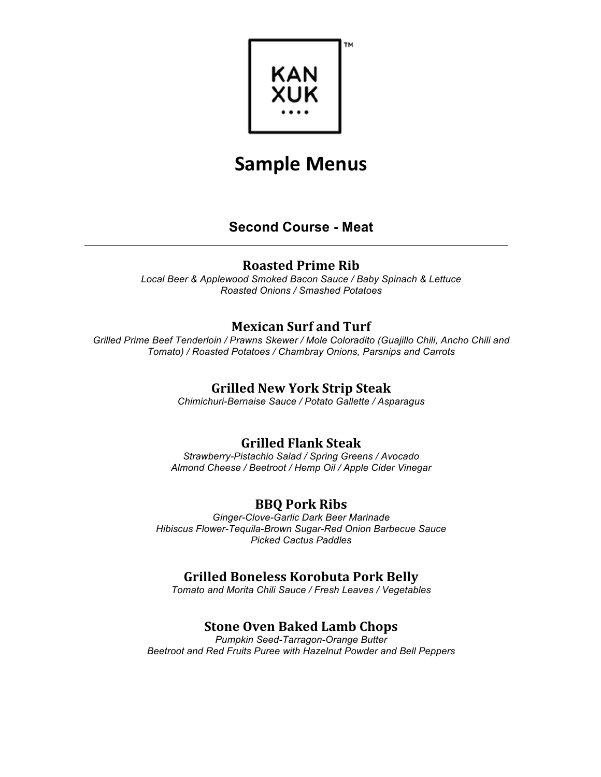

# **Second Course - Meat**

## **Roasted Prime Rib**

*Local Beer & Applewood Smoked Bacon Sauce / Baby Spinach & Lettuce Roasted Onions / Smashed Potatoes*

## **Mexican Surf and Turf**

*Grilled Prime Beef Tenderloin / Prawns Skewer / Mole Coloradito (Guajillo Chili, Ancho Chili and Tomato) / Roasted Potatoes / Chambray Onions, Parsnips and Carrots*

### **Grilled New York Strip Steak**

*Chimichuri-Bernaise Sauce / Potato Gallette / Asparagus*

## **Grilled Flank Steak**

*Strawberry-Pistachio Salad / Spring Greens / Avocado Almond Cheese / Beetroot / Hemp Oil / Apple Cider Vinegar*

## **BBQ Pork Ribs**

*Ginger-Clove-Garlic Dark Beer Marinade Hibiscus Flower-Tequila-Brown Sugar-Red Onion Barbecue Sauce Picked Cactus Paddles*

## **Grilled Boneless Korobuta Pork Belly**

*Tomato and Morita Chili Sauce / Fresh Leaves / Vegetables*

# **Stone Oven Baked Lamb Chops**

*Pumpkin Seed-Tarragon-Orange Butter Beetroot and Red Fruits Puree with Hazelnut Powder and Bell Peppers*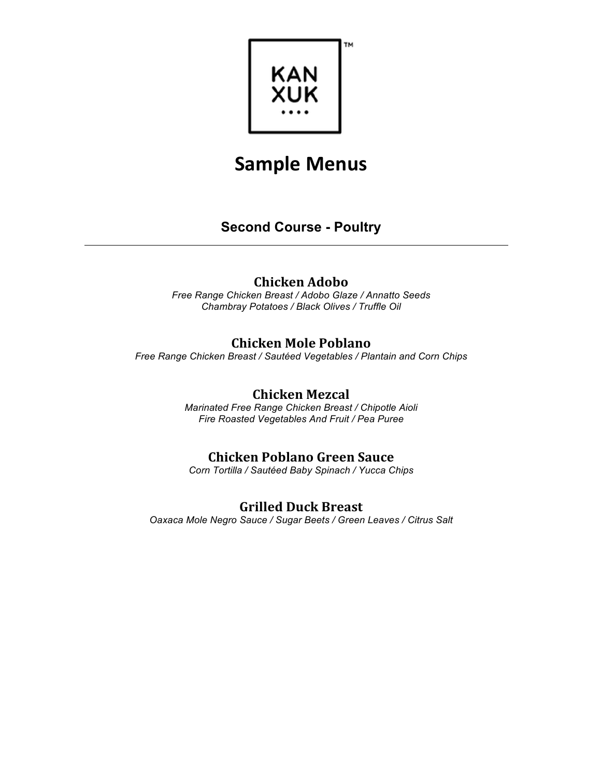

# **Second Course - Poultry**

### **Chicken Adobo**

*Free Range Chicken Breast / Adobo Glaze / Annatto Seeds Chambray Potatoes / Black Olives / Truffle Oil*

### **Chicken Mole Poblano**

*Free Range Chicken Breast / Sautéed Vegetables / Plantain and Corn Chips*

## **Chicken Mezcal**

*Marinated Free Range Chicken Breast / Chipotle Aioli Fire Roasted Vegetables And Fruit / Pea Puree*

## **Chicken Poblano Green Sauce**

*Corn Tortilla / Sautéed Baby Spinach / Yucca Chips*

### **Grilled Duck Breast**

*Oaxaca Mole Negro Sauce / Sugar Beets / Green Leaves / Citrus Salt*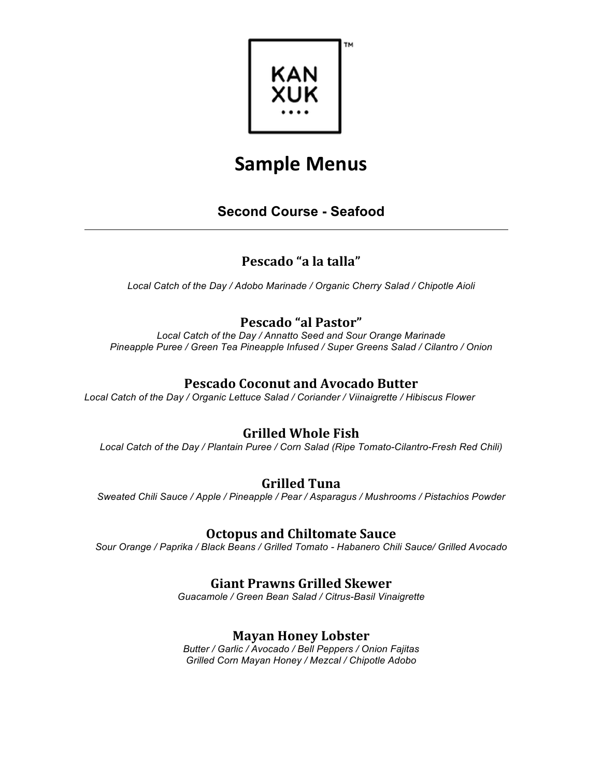

# **Second Course - Seafood**

# **Pescado "a la talla"**

*Local Catch of the Day / Adobo Marinade / Organic Cherry Salad / Chipotle Aioli*

## **Pescado "al Pastor"**

*Local Catch of the Day / Annatto Seed and Sour Orange Marinade Pineapple Puree / Green Tea Pineapple Infused / Super Greens Salad / Cilantro / Onion*

## **Pescado Coconut and Avocado Butter**

*Local Catch of the Day / Organic Lettuce Salad / Coriander / Viinaigrette / Hibiscus Flower*

## **Grilled Whole Fish**

*Local Catch of the Day / Plantain Puree / Corn Salad (Ripe Tomato-Cilantro-Fresh Red Chili)*

## **Grilled Tuna**

*Sweated Chili Sauce / Apple / Pineapple / Pear / Asparagus / Mushrooms / Pistachios Powder*

### **Octopus and Chiltomate Sauce**

*Sour Orange / Paprika / Black Beans / Grilled Tomato - Habanero Chili Sauce/ Grilled Avocado*

## **Giant Prawns Grilled Skewer**

*Guacamole / Green Bean Salad / Citrus-Basil Vinaigrette*

### **Mayan Honey Lobster**

*Butter / Garlic / Avocado / Bell Peppers / Onion Fajitas Grilled Corn Mayan Honey / Mezcal / Chipotle Adobo*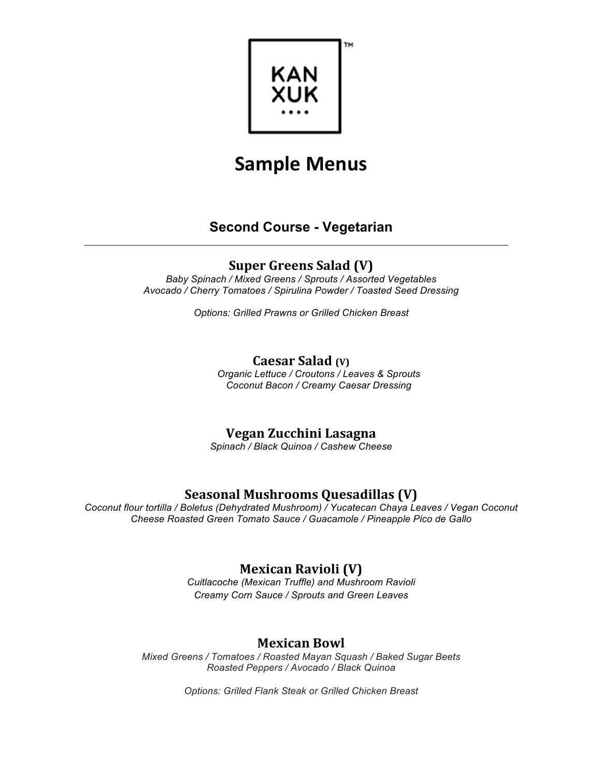

## **Second Course - Vegetarian**

## **Super Greens Salad (V)**

*Baby Spinach / Mixed Greens / Sprouts / Assorted Vegetables Avocado / Cherry Tomatoes / Spirulina Powder / Toasted Seed Dressing*

*Options: Grilled Prawns or Grilled Chicken Breast*

#### **Caesar Salad** (V)

*Organic Lettuce / Croutons / Leaves & Sprouts Coconut Bacon / Creamy Caesar Dressing*

## **Vegan Zucchini Lasagna**

*Spinach / Black Quinoa / Cashew Cheese*

## **Seasonal Mushrooms Quesadillas (V)**

*Coconut flour tortilla / Boletus (Dehydrated Mushroom) / Yucatecan Chaya Leaves / Vegan Coconut Cheese Roasted Green Tomato Sauce / Guacamole / Pineapple Pico de Gallo*

# **Mexican Ravioli (V)**

*Cuitlacoche (Mexican Truffle) and Mushroom Ravioli Creamy Corn Sauce / Sprouts and Green Leaves*

## **Mexican Bowl**

*Mixed Greens / Tomatoes / Roasted Mayan Squash / Baked Sugar Beets Roasted Peppers / Avocado / Black Quinoa*

*Options: Grilled Flank Steak or Grilled Chicken Breast*